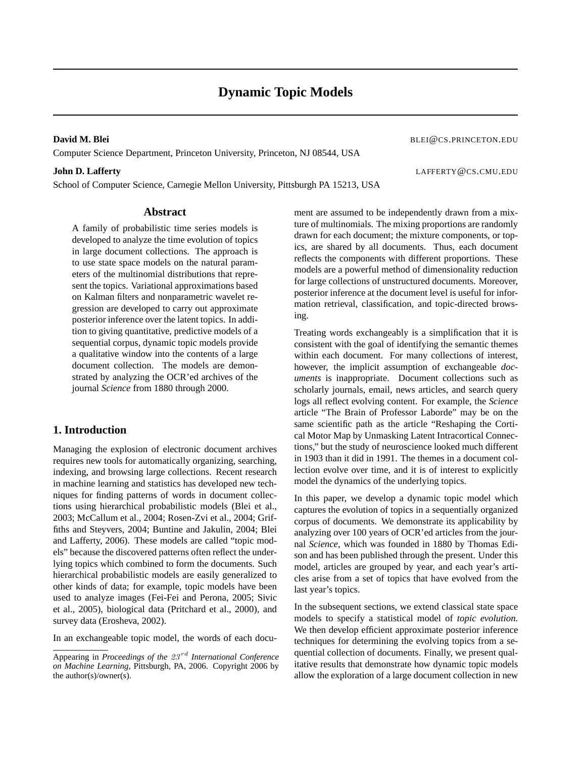Computer Science Department, Princeton University, Princeton, NJ 08544, USA

School of Computer Science, Carnegie Mellon University, Pittsburgh PA 15213, USA

**David M. Blei** BLEI@CS.PRINCETON.EDU

**John D. Lafferty** LAFFERTY@CS.CMU.EDU

## **Abstract**

A family of probabilistic time series models is developed to analyze the time evolution of topics in large document collections. The approach is to use state space models on the natural parameters of the multinomial distributions that represent the topics. Variational approximations based on Kalman filters and nonparametric wavelet regression are developed to carry out approximate posterior inference over the latent topics. In addition to giving quantitative, predictive models of a sequential corpus, dynamic topic models provide a qualitative window into the contents of a large document collection. The models are demonstrated by analyzing the OCR'ed archives of the journal *Science* from 1880 through 2000.

# **1. Introduction**

Managing the explosion of electronic document archives requires new tools for automatically organizing, searching, indexing, and browsing large collections. Recent research in machine learning and statistics has developed new techniques for finding patterns of words in document collections using hierarchical probabilistic models (Blei et al., 2003; McCallum et al., 2004; Rosen-Zvi et al., 2004; Griffiths and Steyvers, 2004; Buntine and Jakulin, 2004; Blei and Lafferty, 2006). These models are called "topic models" because the discovered patterns often reflect the underlying topics which combined to form the documents. Such hierarchical probabilistic models are easily generalized to other kinds of data; for example, topic models have been used to analyze images (Fei-Fei and Perona, 2005; Sivic et al., 2005), biological data (Pritchard et al., 2000), and survey data (Erosheva, 2002).

In an exchangeable topic model, the words of each docu-

ment are assumed to be independently drawn from a mixture of multinomials. The mixing proportions are randomly drawn for each document; the mixture components, or topics, are shared by all documents. Thus, each document reflects the components with different proportions. These models are a powerful method of dimensionality reduction for large collections of unstructured documents. Moreover, posterior inference at the document level is useful for information retrieval, classification, and topic-directed browsing.

Treating words exchangeably is a simplification that it is consistent with the goal of identifying the semantic themes within each document. For many collections of interest, however, the implicit assumption of exchangeable *documents* is inappropriate. Document collections such as scholarly journals, email, news articles, and search query logs all reflect evolving content. For example, the *Science* article "The Brain of Professor Laborde" may be on the same scientific path as the article "Reshaping the Cortical Motor Map by Unmasking Latent Intracortical Connections," but the study of neuroscience looked much different in 1903 than it did in 1991. The themes in a document collection evolve over time, and it is of interest to explicitly model the dynamics of the underlying topics.

In this paper, we develop a dynamic topic model which captures the evolution of topics in a sequentially organized corpus of documents. We demonstrate its applicability by analyzing over 100 years of OCR'ed articles from the journal *Science*, which was founded in 1880 by Thomas Edison and has been published through the present. Under this model, articles are grouped by year, and each year's articles arise from a set of topics that have evolved from the last year's topics.

In the subsequent sections, we extend classical state space models to specify a statistical model of *topic evolution*. We then develop efficient approximate posterior inference techniques for determining the evolving topics from a sequential collection of documents. Finally, we present qualitative results that demonstrate how dynamic topic models allow the exploration of a large document collection in new

Appearing in *Proceedings of the 23<sup>rd</sup> International Conference on Machine Learning*, Pittsburgh, PA, 2006. Copyright 2006 by the author(s)/owner(s).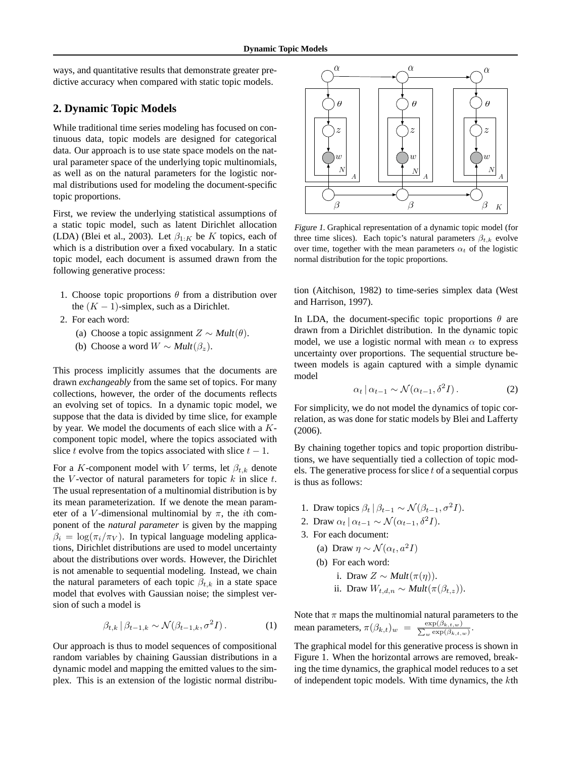ways, and quantitative results that demonstrate greater predictive accuracy when compared with static topic models.

## **2. Dynamic Topic Models**

While traditional time series modeling has focused on continuous data, topic models are designed for categorical data. Our approach is to use state space models on the natural parameter space of the underlying topic multinomials, as well as on the natural parameters for the logistic normal distributions used for modeling the document-specific topic proportions.

First, we review the underlying statistical assumptions of a static topic model, such as latent Dirichlet allocation (LDA) (Blei et al., 2003). Let  $\beta_{1:K}$  be K topics, each of which is a distribution over a fixed vocabulary. In a static topic model, each document is assumed drawn from the following generative process:

- 1. Choose topic proportions  $\theta$  from a distribution over the  $(K - 1)$ -simplex, such as a Dirichlet.
- 2. For each word:
	- (a) Choose a topic assignment  $Z \sim Mult(\theta)$ .
	- (b) Choose a word  $W \sim Mult(\beta_z)$ .

This process implicitly assumes that the documents are drawn *exchangeably* from the same set of topics. For many collections, however, the order of the documents reflects an evolving set of topics. In a dynamic topic model, we suppose that the data is divided by time slice, for example by year. We model the documents of each slice with a Kcomponent topic model, where the topics associated with slice t evolve from the topics associated with slice  $t - 1$ .

For a K-component model with V terms, let  $\beta_{t,k}$  denote the V-vector of natural parameters for topic  $k$  in slice  $t$ . The usual representation of a multinomial distribution is by its mean parameterization. If we denote the mean parameter of a V-dimensional multinomial by  $\pi$ , the *i*th component of the *natural parameter* is given by the mapping  $\beta_i = \log(\pi_i/\pi_V)$ . In typical language modeling applications, Dirichlet distributions are used to model uncertainty about the distributions over words. However, the Dirichlet is not amenable to sequential modeling. Instead, we chain the natural parameters of each topic  $\beta_{t,k}$  in a state space model that evolves with Gaussian noise; the simplest version of such a model is

$$
\beta_{t,k} \, | \, \beta_{t-1,k} \sim \mathcal{N}(\beta_{t-1,k}, \sigma^2 I) \,. \tag{1}
$$

Our approach is thus to model sequences of compositional random variables by chaining Gaussian distributions in a dynamic model and mapping the emitted values to the simplex. This is an extension of the logistic normal distribu-



Figure 1. Graphical representation of a dynamic topic model (for three time slices). Each topic's natural parameters  $\beta_{t,k}$  evolve over time, together with the mean parameters  $\alpha_t$  of the logistic normal distribution for the topic proportions.

tion (Aitchison, 1982) to time-series simplex data (West and Harrison, 1997).

In LDA, the document-specific topic proportions  $\theta$  are drawn from a Dirichlet distribution. In the dynamic topic model, we use a logistic normal with mean  $\alpha$  to express uncertainty over proportions. The sequential structure between models is again captured with a simple dynamic model

$$
\alpha_t \, | \, \alpha_{t-1} \sim \mathcal{N}(\alpha_{t-1}, \delta^2 I) \,. \tag{2}
$$

For simplicity, we do not model the dynamics of topic correlation, as was done for static models by Blei and Lafferty (2006).

By chaining together topics and topic proportion distributions, we have sequentially tied a collection of topic models. The generative process for slice  $t$  of a sequential corpus is thus as follows:

- 1. Draw topics  $\beta_t | \beta_{t-1} \sim \mathcal{N}(\beta_{t-1}, \sigma^2 I).$
- 2. Draw  $\alpha_t | \alpha_{t-1} \sim \mathcal{N}(\alpha_{t-1}, \delta^2 I).$
- 3. For each document:
	- (a) Draw  $\eta \sim \mathcal{N}(\alpha_t, a^2I)$
	- (b) For each word:
		- i. Draw  $Z \sim Mult(\pi(\eta))$ .
		- ii. Draw  $W_{t,d,n} \sim \text{Mult}(\pi(\beta_{t,z}))$ .

Note that  $\pi$  maps the multinomial natural parameters to the mean parameters,  $\pi(\beta_{k,t})_w = \frac{\exp(\beta_{k,t,w})}{\sum_{w} \exp(\beta_{k,t,w})}$  $_{w}\exp(\beta_{k,t,w})$ .

The graphical model for this generative process is shown in Figure 1. When the horizontal arrows are removed, breaking the time dynamics, the graphical model reduces to a set of independent topic models. With time dynamics, the kth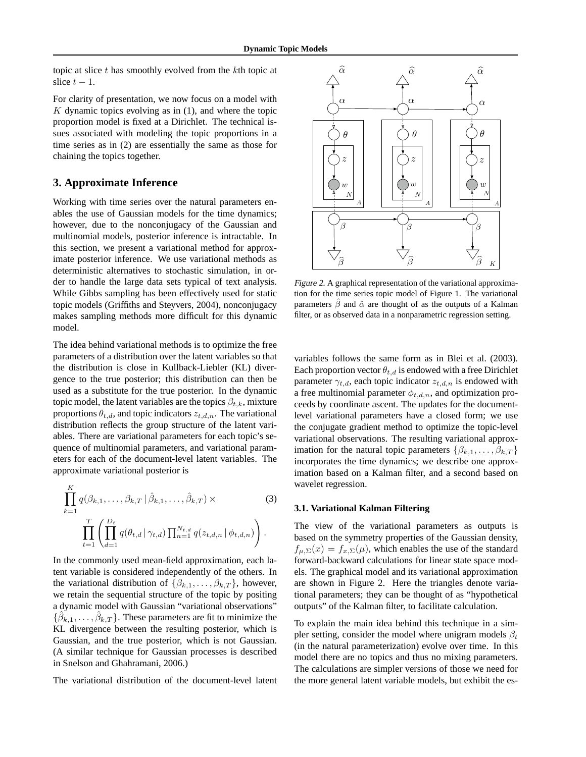topic at slice  $t$  has smoothly evolved from the  $k$ th topic at slice  $t - 1$ .

For clarity of presentation, we now focus on a model with  $K$  dynamic topics evolving as in  $(1)$ , and where the topic proportion model is fixed at a Dirichlet. The technical issues associated with modeling the topic proportions in a time series as in (2) are essentially the same as those for chaining the topics together.

## **3. Approximate Inference**

Working with time series over the natural parameters enables the use of Gaussian models for the time dynamics; however, due to the nonconjugacy of the Gaussian and multinomial models, posterior inference is intractable. In this section, we present a variational method for approximate posterior inference. We use variational methods as deterministic alternatives to stochastic simulation, in order to handle the large data sets typical of text analysis. While Gibbs sampling has been effectively used for static topic models (Griffiths and Steyvers, 2004), nonconjugacy makes sampling methods more difficult for this dynamic model.

The idea behind variational methods is to optimize the free parameters of a distribution over the latent variables so that the distribution is close in Kullback-Liebler (KL) divergence to the true posterior; this distribution can then be used as a substitute for the true posterior. In the dynamic topic model, the latent variables are the topics  $\beta_{t,k}$ , mixture proportions  $\theta_{t,d}$ , and topic indicators  $z_{t,d,n}$ . The variational distribution reflects the group structure of the latent variables. There are variational parameters for each topic's sequence of multinomial parameters, and variational parameters for each of the document-level latent variables. The approximate variational posterior is

$$
\prod_{k=1}^{K} q(\beta_{k,1}, \dots, \beta_{k,T} | \hat{\beta}_{k,1}, \dots, \hat{\beta}_{k,T}) \times \prod_{t=1}^{T} \left( \prod_{d=1}^{D_t} q(\theta_{t,d} | \gamma_{t,d}) \prod_{n=1}^{N_{t,d}} q(z_{t,d,n} | \phi_{t,d,n}) \right).
$$
\n(3)

In the commonly used mean-field approximation, each latent variable is considered independently of the others. In the variational distribution of  $\{\beta_{k,1},\ldots,\beta_{k,T}\}\,$  however, we retain the sequential structure of the topic by positing a dynamic model with Gaussian "variational observations"  $\{\hat{\beta}_{k,1},\ldots,\hat{\beta}_{k,T}\}.$  These parameters are fit to minimize the KL divergence between the resulting posterior, which is Gaussian, and the true posterior, which is not Gaussian. (A similar technique for Gaussian processes is described in Snelson and Ghahramani, 2006.)

The variational distribution of the document-level latent



Figure 2. A graphical representation of the variational approximation for the time series topic model of Figure 1. The variational parameters  $\hat{\beta}$  and  $\hat{\alpha}$  are thought of as the outputs of a Kalman filter, or as observed data in a nonparametric regression setting.

variables follows the same form as in Blei et al. (2003). Each proportion vector  $\theta_{t,d}$  is endowed with a free Dirichlet parameter  $\gamma_{t,d}$ , each topic indicator  $z_{t,d,n}$  is endowed with a free multinomial parameter  $\phi_{t,d,n}$ , and optimization proceeds by coordinate ascent. The updates for the documentlevel variational parameters have a closed form; we use the conjugate gradient method to optimize the topic-level variational observations. The resulting variational approximation for the natural topic parameters  $\{\beta_{k,1},\ldots,\beta_{k,T}\}$ incorporates the time dynamics; we describe one approximation based on a Kalman filter, and a second based on wavelet regression.

#### **3.1. Variational Kalman Filtering**

The view of the variational parameters as outputs is based on the symmetry properties of the Gaussian density,  $f_{\mu,\Sigma}(x) = f_{x,\Sigma}(\mu)$ , which enables the use of the standard forward-backward calculations for linear state space models. The graphical model and its variational approximation are shown in Figure 2. Here the triangles denote variational parameters; they can be thought of as "hypothetical outputs" of the Kalman filter, to facilitate calculation.

To explain the main idea behind this technique in a simpler setting, consider the model where unigram models  $\beta_t$ (in the natural parameterization) evolve over time. In this model there are no topics and thus no mixing parameters. The calculations are simpler versions of those we need for the more general latent variable models, but exhibit the es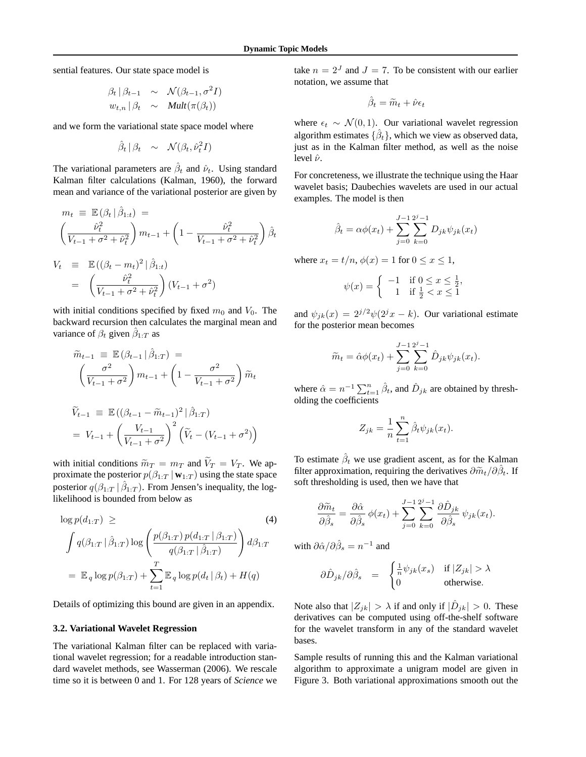sential features. Our state space model is

$$
\begin{array}{rcl}\n\beta_t | \beta_{t-1} & \sim & \mathcal{N}(\beta_{t-1}, \sigma^2 I) \\
w_{t,n} | \beta_t & \sim & \text{Mult}(\pi(\beta_t))\n\end{array}
$$

and we form the variational state space model where

$$
\hat{\beta}_t | \beta_t \sim \mathcal{N}(\beta_t, \hat{\nu}_t^2 I)
$$

The variational parameters are  $\hat{\beta}_t$  and  $\hat{\nu}_t$ . Using standard Kalman filter calculations (Kalman, 1960), the forward mean and variance of the variational posterior are given by

$$
m_t \equiv \mathbb{E}(\beta_t | \hat{\beta}_{1:t}) =
$$
  

$$
\left(\frac{\hat{\nu}_t^2}{V_{t-1} + \sigma^2 + \hat{\nu}_t^2}\right) m_{t-1} + \left(1 - \frac{\hat{\nu}_t^2}{V_{t-1} + \sigma^2 + \hat{\nu}_t^2}\right) \hat{\beta}_t
$$

$$
V_t \equiv \mathbb{E}((\beta_t - m_t)^2 | \hat{\beta}_{1:t})
$$
  
= 
$$
\left(\frac{\hat{\nu}_t^2}{V_{t-1} + \sigma^2 + \hat{\nu}_t^2}\right) (V_{t-1} + \sigma^2)
$$

with initial conditions specified by fixed  $m_0$  and  $V_0$ . The backward recursion then calculates the marginal mean and variance of  $\beta_t$  given  $\hat{\beta}_{1:T}$  as

$$
\widetilde{m}_{t-1} \equiv \mathbb{E} (\beta_{t-1} | \hat{\beta}_{1:T}) =
$$
\n
$$
\left( \frac{\sigma^2}{V_{t-1} + \sigma^2} \right) m_{t-1} + \left( 1 - \frac{\sigma^2}{V_{t-1} + \sigma^2} \right) \widetilde{m}_t
$$
\n
$$
\widetilde{V}_{t-1} \equiv \mathbb{E} ((\beta_{t-1} - \widetilde{m}_{t-1})^2 | \hat{\beta}_{1:T})
$$
\n
$$
= V_{t-1} + \left( \frac{V_{t-1}}{V_{t-1} + \sigma^2} \right)^2 \left( \widetilde{V}_t - (V_{t-1} + \sigma^2) \right)
$$

with initial conditions  $\widetilde{m}_T = m_T$  and  $\widetilde{V}_T = V_T$ . We approximate the posterior  $p(\beta_{1:T} | \mathbf{w}_{1:T})$  using the state space posterior  $q(\beta_{1:T} | \hat{\beta}_{1:T})$ . From Jensen's inequality, the loglikelihood is bounded from below as

$$
\log p(d_{1:T}) \geq (4)
$$
\n
$$
\int q(\beta_{1:T} | \hat{\beta}_{1:T}) \log \left( \frac{p(\beta_{1:T}) p(d_{1:T} | \beta_{1:T})}{q(\beta_{1:T} | \hat{\beta}_{1:T})} \right) d\beta_{1:T}
$$
\n
$$
= \mathbb{E}_q \log p(\beta_{1:T}) + \sum_{t=1}^T \mathbb{E}_q \log p(d_t | \beta_t) + H(q)
$$

Details of optimizing this bound are given in an appendix.

#### **3.2. Variational Wavelet Regression**

The variational Kalman filter can be replaced with variational wavelet regression; for a readable introduction standard wavelet methods, see Wasserman (2006). We rescale time so it is between 0 and 1. For 128 years of *Science* we

take  $n = 2<sup>J</sup>$  and  $J = 7$ . To be consistent with our earlier notation, we assume that

$$
\hat{\beta}_t = \widetilde{m}_t + \hat{\nu} \epsilon_t
$$

where  $\epsilon_t \sim \mathcal{N}(0, 1)$ . Our variational wavelet regression algorithm estimates  $\{\hat{\beta}_t\}$ , which we view as observed data, just as in the Kalman filter method, as well as the noise level  $\hat{\nu}$ .

For concreteness, we illustrate the technique using the Haar wavelet basis; Daubechies wavelets are used in our actual examples. The model is then

$$
\hat{\beta}_t = \alpha \phi(x_t) + \sum_{j=0}^{J-1} \sum_{k=0}^{2^j - 1} D_{jk} \psi_{jk}(x_t)
$$

where  $x_t = t/n$ ,  $\phi(x) = 1$  for  $0 \le x \le 1$ ,

$$
\psi(x) = \begin{cases}\n-1 & \text{if } 0 \le x \le \frac{1}{2}, \\
1 & \text{if } \frac{1}{2} < x \le 1\n\end{cases}
$$

and  $\psi_{jk}(x) = 2^{j/2}\psi(2^{j}x - k)$ . Our variational estimate for the posterior mean becomes

$$
\widetilde{m}_t = \hat{\alpha}\phi(x_t) + \sum_{j=0}^{J-1} \sum_{k=0}^{2^j - 1} \hat{D}_{jk}\psi_{jk}(x_t).
$$

where  $\hat{\alpha} = n^{-1} \sum_{t=1}^{n} \hat{\beta}_t$ , and  $\hat{D}_{jk}$  are obtained by thresholding the coefficients

$$
Z_{jk} = \frac{1}{n} \sum_{t=1}^{n} \hat{\beta}_t \psi_{jk}(x_t).
$$

To estimate  $\hat{\beta}_t$  we use gradient ascent, as for the Kalman filter approximation, requiring the derivatives  $\partial \widetilde{m}_t / \partial \widehat{\beta}_t$ . If soft thresholding is used, then we have that

$$
\frac{\partial \widetilde{m}_t}{\partial \widehat{\beta}_s} = \frac{\partial \widehat{\alpha}}{\partial \widehat{\beta}_s} \phi(x_t) + \sum_{j=0}^{J-1} \sum_{k=0}^{2^j-1} \frac{\partial \widehat{D}_{jk}}{\partial \widehat{\beta}_s} \psi_{jk}(x_t).
$$

with  $\partial \hat{\alpha}/\partial \hat{\beta}_s = n^{-1}$  and

$$
\partial \hat{D}_{jk} / \partial \hat{\beta}_s \quad = \quad \begin{cases} \frac{1}{n} \psi_{jk}(x_s) & \text{if } |Z_{jk}| > \lambda \\ 0 & \text{otherwise.} \end{cases}
$$

Note also that  $|Z_{jk}| > \lambda$  if and only if  $|\hat{D}_{jk}| > 0$ . These derivatives can be computed using off-the-shelf software for the wavelet transform in any of the standard wavelet bases.

Sample results of running this and the Kalman variational algorithm to approximate a unigram model are given in Figure 3. Both variational approximations smooth out the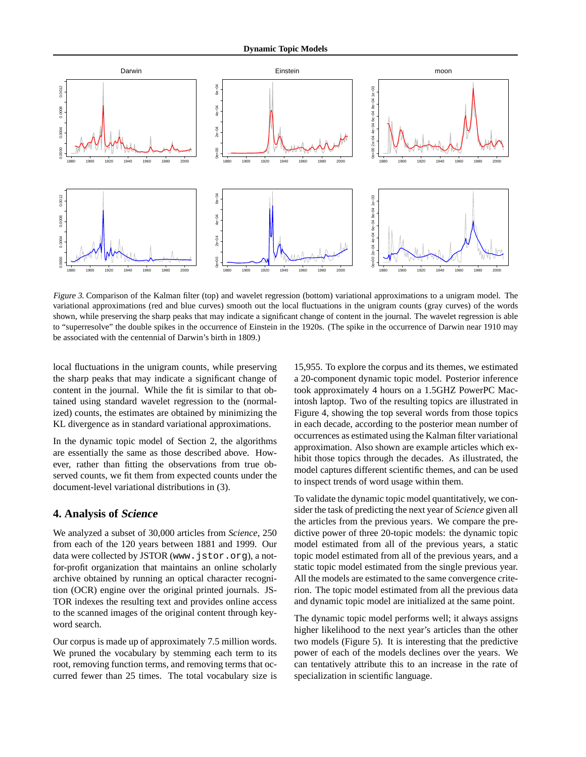

Figure 3. Comparison of the Kalman filter (top) and wavelet regression (bottom) variational approximations to a unigram model. The variational approximations (red and blue curves) smooth out the local fluctuations in the unigram counts (gray curves) of the words shown, while preserving the sharp peaks that may indicate a significant change of content in the journal. The wavelet regression is able to "superresolve" the double spikes in the occurrence of Einstein in the 1920s. (The spike in the occurrence of Darwin near 1910 may be associated with the centennial of Darwin's birth in 1809.)

local fluctuations in the unigram counts, while preserving the sharp peaks that may indicate a significant change of content in the journal. While the fit is similar to that obtained using standard wavelet regression to the (normalized) counts, the estimates are obtained by minimizing the KL divergence as in standard variational approximations.

In the dynamic topic model of Section 2, the algorithms are essentially the same as those described above. However, rather than fitting the observations from true observed counts, we fit them from expected counts under the document-level variational distributions in (3).

## **4. Analysis of Science**

We analyzed a subset of 30,000 articles from *Science*, 250 from each of the 120 years between 1881 and 1999. Our data were collected by JSTOR (www.jstor.org), a notfor-profit organization that maintains an online scholarly archive obtained by running an optical character recognition (OCR) engine over the original printed journals. JS-TOR indexes the resulting text and provides online access to the scanned images of the original content through keyword search.

Our corpus is made up of approximately 7.5 million words. We pruned the vocabulary by stemming each term to its root, removing function terms, and removing terms that occurred fewer than 25 times. The total vocabulary size is

15,955. To explore the corpus and its themes, we estimated a 20-component dynamic topic model. Posterior inference took approximately 4 hours on a 1.5GHZ PowerPC Macintosh laptop. Two of the resulting topics are illustrated in Figure 4, showing the top several words from those topics in each decade, according to the posterior mean number of occurrences as estimated using the Kalman filter variational approximation. Also shown are example articles which exhibit those topics through the decades. As illustrated, the model captures different scientific themes, and can be used to inspect trends of word usage within them.

To validate the dynamic topic model quantitatively, we consider the task of predicting the next year of *Science* given all the articles from the previous years. We compare the predictive power of three 20-topic models: the dynamic topic model estimated from all of the previous years, a static topic model estimated from all of the previous years, and a static topic model estimated from the single previous year. All the models are estimated to the same convergence criterion. The topic model estimated from all the previous data and dynamic topic model are initialized at the same point.

The dynamic topic model performs well; it always assigns higher likelihood to the next year's articles than the other two models (Figure 5). It is interesting that the predictive power of each of the models declines over the years. We can tentatively attribute this to an increase in the rate of specialization in scientific language.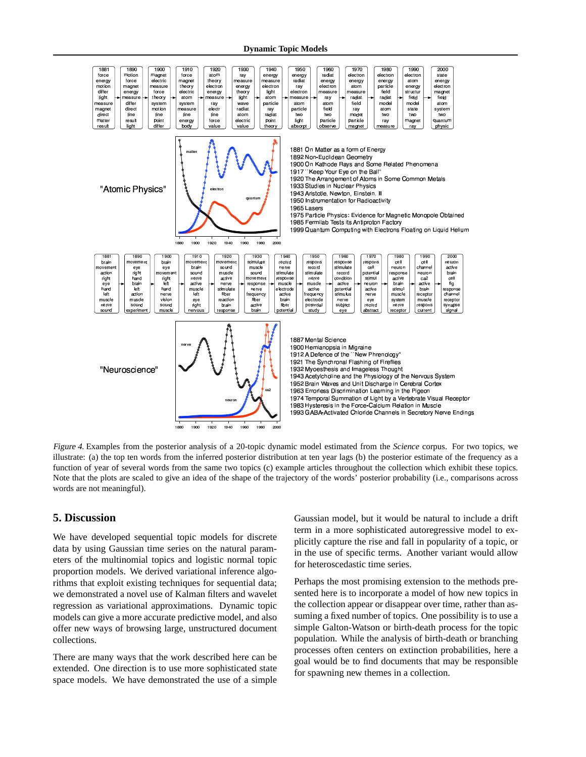

Figure 4. Examples from the posterior analysis of a 20-topic dynamic model estimated from the *Science* corpus. For two topics, we illustrate: (a) the top ten words from the inferred posterior distribution at ten year lags (b) the posterior estimate of the frequency as a function of year of several words from the same two topics (c) example articles throughout the collection which exhibit these topics. Note that the plots are scaled to give an idea of the shape of the trajectory of the words' posterior probability (i.e., comparisons across words are not meaningful).

## **5. Discussion**

We have developed sequential topic models for discrete data by using Gaussian time series on the natural parameters of the multinomial topics and logistic normal topic proportion models. We derived variational inference algorithms that exploit existing techniques for sequential data; we demonstrated a novel use of Kalman filters and wavelet regression as variational approximations. Dynamic topic models can give a more accurate predictive model, and also offer new ways of browsing large, unstructured document collections.

There are many ways that the work described here can be extended. One direction is to use more sophisticated state space models. We have demonstrated the use of a simple Gaussian model, but it would be natural to include a drift term in a more sophisticated autoregressive model to explicitly capture the rise and fall in popularity of a topic, or in the use of specific terms. Another variant would allow for heteroscedastic time series.

Perhaps the most promising extension to the methods presented here is to incorporate a model of how new topics in the collection appear or disappear over time, rather than assuming a fixed number of topics. One possibility is to use a simple Galton-Watson or birth-death process for the topic population. While the analysis of birth-death or branching processes often centers on extinction probabilities, here a goal would be to find documents that may be responsible for spawning new themes in a collection.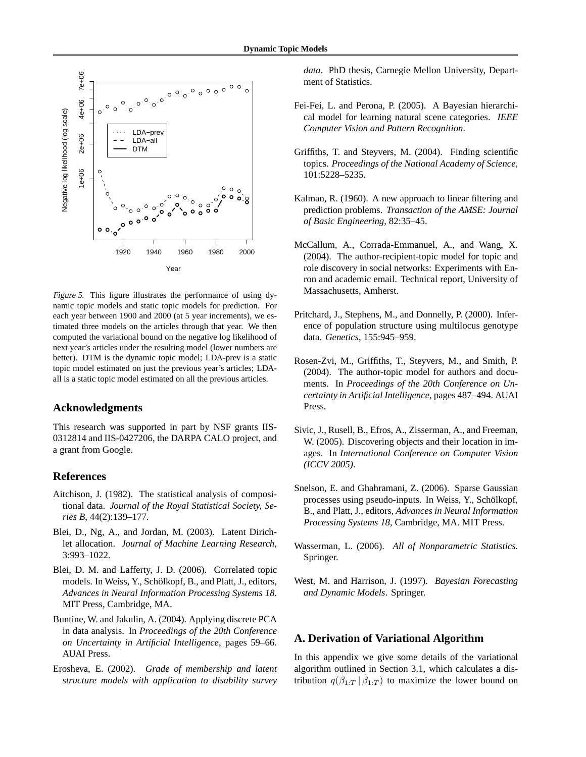

Figure 5. This figure illustrates the performance of using dynamic topic models and static topic models for prediction. For each year between 1900 and 2000 (at 5 year increments), we estimated three models on the articles through that year. We then computed the variational bound on the negative log likelihood of next year's articles under the resulting model (lower numbers are better). DTM is the dynamic topic model; LDA-prev is a static topic model estimated on just the previous year's articles; LDAall is a static topic model estimated on all the previous articles.

### **Acknowledgments**

This research was supported in part by NSF grants IIS-0312814 and IIS-0427206, the DARPA CALO project, and a grant from Google.

### **References**

- Aitchison, J. (1982). The statistical analysis of compositional data. *Journal of the Royal Statistical Society, Series B*, 44(2):139–177.
- Blei, D., Ng, A., and Jordan, M. (2003). Latent Dirichlet allocation. *Journal of Machine Learning Research*, 3:993–1022.
- Blei, D. M. and Lafferty, J. D. (2006). Correlated topic models. In Weiss, Y., Schölkopf, B., and Platt, J., editors, *Advances in Neural Information Processing Systems 18*. MIT Press, Cambridge, MA.
- Buntine, W. and Jakulin, A. (2004). Applying discrete PCA in data analysis. In *Proceedings of the 20th Conference on Uncertainty in Artificial Intelligence*, pages 59–66. AUAI Press.
- Erosheva, E. (2002). *Grade of membership and latent structure models with application to disability survey*

*data*. PhD thesis, Carnegie Mellon University, Department of Statistics.

- Fei-Fei, L. and Perona, P. (2005). A Bayesian hierarchical model for learning natural scene categories. *IEEE Computer Vision and Pattern Recognition*.
- Griffiths, T. and Steyvers, M. (2004). Finding scientific topics. *Proceedings of the National Academy of Science*, 101:5228–5235.
- Kalman, R. (1960). A new approach to linear filtering and prediction problems. *Transaction of the AMSE: Journal of Basic Engineering*, 82:35–45.
- McCallum, A., Corrada-Emmanuel, A., and Wang, X. (2004). The author-recipient-topic model for topic and role discovery in social networks: Experiments with Enron and academic email. Technical report, University of Massachusetts, Amherst.
- Pritchard, J., Stephens, M., and Donnelly, P. (2000). Inference of population structure using multilocus genotype data. *Genetics*, 155:945–959.
- Rosen-Zvi, M., Griffiths, T., Steyvers, M., and Smith, P. (2004). The author-topic model for authors and documents. In *Proceedings of the 20th Conference on Uncertainty in Artificial Intelligence*, pages 487–494. AUAI Press.
- Sivic, J., Rusell, B., Efros, A., Zisserman, A., and Freeman, W. (2005). Discovering objects and their location in images. In *International Conference on Computer Vision (ICCV 2005)*.
- Snelson, E. and Ghahramani, Z. (2006). Sparse Gaussian processes using pseudo-inputs. In Weiss, Y., Schölkopf, B., and Platt, J., editors, *Advances in Neural Information Processing Systems 18*, Cambridge, MA. MIT Press.
- Wasserman, L. (2006). *All of Nonparametric Statistics*. Springer.
- West, M. and Harrison, J. (1997). *Bayesian Forecasting and Dynamic Models*. Springer.

# **A. Derivation of Variational Algorithm**

In this appendix we give some details of the variational algorithm outlined in Section 3.1, which calculates a distribution  $q(\beta_{1:T} | \hat{\beta}_{1:T})$  to maximize the lower bound on